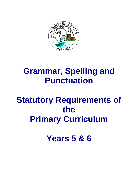

# **Grammar, Spelling and Punctuation**

# **Statutory Requirements of the Primary Curriculum**

**Years 5 & 6**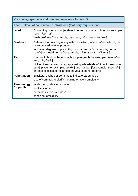| Vocabulary, grammar and punctuation - work for Year 5              |                                                                                                                                                                                                                   |
|--------------------------------------------------------------------|-------------------------------------------------------------------------------------------------------------------------------------------------------------------------------------------------------------------|
| Year 5: Detail of content to be introduced (statutory requirement) |                                                                                                                                                                                                                   |
| Word                                                               | Converting nouns or adjectives into verbs using suffixes [for example,<br>$-\alpha t$ e; $-i\alpha$ ; $-i\beta$                                                                                                   |
|                                                                    | <b>Verb prefixes</b> [for example, $dis-$ , $de-$ , $mis-$ , over- and re-]                                                                                                                                       |
| <b>Sentence</b>                                                    | <b>Relative clauses</b> beginning with who, which, where, when, whose, that,<br>or an omitted relative pronoun                                                                                                    |
|                                                                    | Indicating degrees of possibility using <b>adverbs</b> [for example, <i>perhaps</i> ,<br>surely] or <b>modal verbs</b> [for example, <i>might</i> , should, will, <i>must</i> ]                                   |
| <b>Text</b>                                                        | Devices to build <b>cohesion</b> within a paragraph [for example, <i>then, after</i><br>that, this, firstly                                                                                                       |
|                                                                    | Linking ideas across paragraphs using <b>adverbials</b> of time [for example,<br>later], place [for example, nearby] and number [for example, secondly]<br>or tense choices [for example, he had seen her before] |
| <b>Punctuation</b>                                                 | Brackets, dashes or commas to indicate parenthesis<br>Use of commas to clarify meaning or avoid ambiguity                                                                                                         |
| <b>Terminology</b><br>for pupils                                   | modal verb, relative pronoun<br>relative clause<br>parenthesis, bracket, dash                                                                                                                                     |
|                                                                    | cohesion, ambiguity                                                                                                                                                                                               |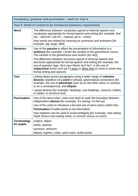| Vocabulary, grammar and punctuation - work for Year 6              |                                                                                                                                                                                                                                                                                                                                                                                                                                                                                                                              |  |
|--------------------------------------------------------------------|------------------------------------------------------------------------------------------------------------------------------------------------------------------------------------------------------------------------------------------------------------------------------------------------------------------------------------------------------------------------------------------------------------------------------------------------------------------------------------------------------------------------------|--|
| Year 6: Detail of content to be introduced (statutory requirement) |                                                                                                                                                                                                                                                                                                                                                                                                                                                                                                                              |  |
| Word                                                               | The difference between vocabulary typical of informal speech and<br>vocabulary appropriate for formal speech and writing [for example, find<br>out - discover; ask for - request; go in - enter]<br>How words are related by meaning as synonyms and antonyms [for<br>example, big, large, little].                                                                                                                                                                                                                          |  |
| <b>Sentence</b>                                                    | Use of the <b>passive</b> to affect the presentation of information in a<br>sentence [for example, I broke the window in the greenhouse versus<br>The window in the greenhouse was broken (by me)].<br>The difference between structures typical of informal speech and<br>structures appropriate for formal speech and writing [for example, the<br>use of question tags: He's your friend, isn't he?, or the use of<br>subjunctive forms such as If I were or Were they to come in some very<br>formal writing and speech] |  |
| <b>Text</b>                                                        | Linking ideas across paragraphs using a wider range of cohesive<br>devices: repetition of a word or phrase, grammatical connections [for<br>example, the use of adverbials such as on the other hand, in contrast,<br>or as a consequence], and ellipsis<br>Layout devices [for example, headings, sub-headings, columns, bullets,<br>or tables, to structure text]                                                                                                                                                          |  |
| <b>Punctuation</b>                                                 | Use of the semi-colon, colon and dash to mark the boundary between<br>independent clauses [for example, It's raining; I'm fed up]<br>Use of the colon to introduce a list and use of semi-colons within lists<br><b>Punctuation</b> of bullet points to list information<br>How hyphens can be used to avoid ambiguity [for example, man eating<br>shark versus man-eating shark, or recover versus re-cover]                                                                                                                |  |
| <b>Terminology</b><br>for pupils                                   | subject, object<br>active, passive<br>synonym, antonym<br>ellipsis, hyphen, colon, semi-colon, bullet points                                                                                                                                                                                                                                                                                                                                                                                                                 |  |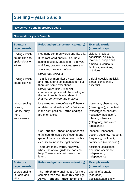### **Spelling – years 5 and 6**

#### **Revise work done in previous years**

#### **New work for years 5 and 6**

| <b>Statutory</b><br>requirements                                    | <b>Rules and guidance (non-statutory)</b>                                                                                                                                                                                                                                      | <b>Example words</b><br>(non-statutory)                                                                                                                                      |
|---------------------------------------------------------------------|--------------------------------------------------------------------------------------------------------------------------------------------------------------------------------------------------------------------------------------------------------------------------------|------------------------------------------------------------------------------------------------------------------------------------------------------------------------------|
| Endings which<br>sound like /fas/<br>spelt-cious or<br>-tious       | Not many common words end like this.<br>If the root word ends in $-ce$ , the /f/<br>sound is usually spelt as $c - e.g.$ vice<br>- vicious, grace - gracious, space -<br>spacious, malice - malicious.                                                                         | vicious, precious,<br>conscious, delicious,<br>malicious, suspicious<br>ambitious, cautious,<br>fictitious, infectious,<br>nutritious                                        |
|                                                                     | <b>Exception: anxious.</b>                                                                                                                                                                                                                                                     |                                                                                                                                                                              |
| Endings which<br>sound like /fal/                                   | -cial is common after a vowel letter<br>and -tial after a consonant letter, but<br>there are some exceptions.<br><b>Exceptions: initial, financial,</b><br>commercial, provincial (the spelling of<br>the last three is clearly related to<br>finance, commerce and province). | official, special, artificial,<br>partial, confidential,<br>essential                                                                                                        |
| Words ending<br>in $-ant$ ,<br>-ance/-ancy,<br>-ent,<br>-ence/-ency | Use -ant and -ance/-ancy if there is<br>a related word with a /æ/ or /eɪ/ sound<br>in the right position; -ation endings<br>are often a clue.                                                                                                                                  | observant, observance,<br>(observation), expectant<br>(expectation), hesitant,<br>hesitancy (hesitation),<br>tolerant, tolerance<br>(toleration), substance<br>(substantial) |
|                                                                     | Use -ent and -ence/-ency after soft<br>$c$ (/s/ sound), soft $g$ (/dʒ/ sound) and<br>qu, or if there is a related word with a<br>clear $/\varepsilon$ / sound in the right position.                                                                                           | innocent, innocence,<br>decent, decency, frequent,<br>frequency, confident,<br>confidence (confidential)                                                                     |
|                                                                     | There are many words, however,<br>where the above guidance does not<br>help. These words just have to be<br>learnt.                                                                                                                                                            | assistant, assistance,<br>obedient, obedience,<br>independent,<br>independence                                                                                               |
| <b>Statutory</b><br>requirements                                    | <b>Rules and guidance (non-statutory)</b>                                                                                                                                                                                                                                      | <b>Example words</b><br>(non-statutory)                                                                                                                                      |
| Words ending<br>in -able and<br>-ible                               | The -able/-ably endings are far more<br>common than the -ible/-ibly endings.<br>As with -ant and -ance/-ancy, the -                                                                                                                                                            | adorable/adorably<br>(adoration),<br>applicable/applicably                                                                                                                   |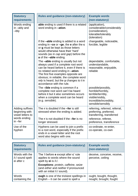| <b>Statutory</b><br>requirements                                                   | <b>Rules and guidance (non-statutory)</b>                                                                                                                                                                                                                                                                                      | <b>Example words</b><br>(non-statutory)                                                                                                  |
|------------------------------------------------------------------------------------|--------------------------------------------------------------------------------------------------------------------------------------------------------------------------------------------------------------------------------------------------------------------------------------------------------------------------------|------------------------------------------------------------------------------------------------------------------------------------------|
| Words ending<br>in -ably and<br>-ibly                                              | able ending is used if there is a related<br>word ending in -ation.                                                                                                                                                                                                                                                            | (application),<br>considerable/considerably<br>(consideration),<br>tolerable/tolerably<br>(toleration)                                   |
|                                                                                    | If the <b>-able</b> ending is added to a word<br>ending in $-ce$ or $-ge$ , the e after the c<br>or <b>g</b> must be kept as those letters<br>would otherwise have their 'hard'<br>sounds (as in cap and gap) before the<br>a of the <b>-able</b> ending.                                                                      | changeable, noticeable,<br>forcible, legible                                                                                             |
|                                                                                    | The <b>-able</b> ending is usually but not<br>always used if a complete root word<br>can be heard before it, even if there is<br>no related word ending in -ation.<br>The first five examples opposite are<br>obvious; in reliable, the complete word<br>rely is heard, but the y changes to i in<br>accordance with the rule. | dependable, comfortable,<br>understandable,<br>reasonable, enjoyable,<br>reliable                                                        |
|                                                                                    | The <b>-ible</b> ending is common if a<br>complete root word can't be heard<br>before it but it also sometimes occurs<br>when a complete word can be heard<br>(e.g. sensible).                                                                                                                                                 | possible/possibly,<br>horrible/horribly,<br>terrible/terribly,<br>visible/visibly,<br>incredible/incredibly,<br>sensible/sensibly        |
| Adding suffixes<br>beginning with<br>vowel letters to<br>words ending<br>$in -fer$ | The $r$ is doubled if the $-\text{fer}$ is still<br>stressed when the ending is added.<br>The <b>r</b> is not doubled if the <b>-fer</b> is no<br>longer stressed.                                                                                                                                                             | referring, referred, referral,<br>preferring, preferred,<br>transferring, transferred<br>reference, referee,<br>preference, transference |
| Use of the<br>hyphen                                                               | Hyphens can be used to join a prefix<br>to a root word, especially if the prefix<br>ends in a vowel letter and the root<br>word also begins with one.                                                                                                                                                                          | co-ordinate, re-enter,<br>co-operate, co-own                                                                                             |
| <b>Statutory</b>                                                                   | <b>Rules and guidance (non-statutory)</b>                                                                                                                                                                                                                                                                                      | <b>Example words</b>                                                                                                                     |
| requirements<br>Words with the<br>/i:/ sound spelt<br>ei after c                   | The 'i before e except after c' rule<br>applies to words where the sound<br>spelt by ei is /i:/.<br><b>Exceptions: protein, caffeine, seize</b><br>(and either and neither if pronounced<br>with an initial /i:/ sound).                                                                                                       | (non-statutory)<br>deceive, conceive, receive,<br>perceive, ceiling                                                                      |
| Words<br>containing the                                                            | ough is one of the trickiest spellings in<br>English – it can be used to spell a                                                                                                                                                                                                                                               | ought, bought, thought,<br>nought, brought, fought                                                                                       |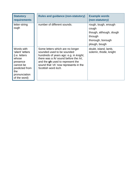| <b>Statutory</b><br><b>requirements</b>                                                                                                     | <b>Rules and guidance (non-statutory)</b>                                                                                                                                                                                                                     | <b>Example words</b><br>(non-statutory)                                                                   |
|---------------------------------------------------------------------------------------------------------------------------------------------|---------------------------------------------------------------------------------------------------------------------------------------------------------------------------------------------------------------------------------------------------------------|-----------------------------------------------------------------------------------------------------------|
| letter-string<br>ough                                                                                                                       | number of different sounds.                                                                                                                                                                                                                                   | rough, tough, enough<br>cough<br>though, although, dough<br>through<br>thorough, borough<br>plough, bough |
| Words with<br>'silent' letters<br>(i.e. letters<br>whose<br>presence<br>cannot be<br>predicted from<br>the<br>pronunciation<br>of the word) | Some letters which are no longer<br>sounded used to be sounded<br>hundreds of years ago: e.g. in knight,<br>there was a /k/ sound before the /n/,<br>and the gh used to represent the<br>sound that 'ch' now represents in the<br>Scottish word <i>loch</i> . | doubt, island, lamb,<br>solemn, thistle, knight                                                           |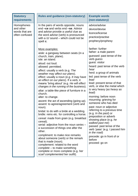| <b>Statutory</b><br>requirements                            | <b>Rules and guidance (non-statutory)</b>                                                                                                                                                                                                                                                                                                                                                                                                                                                                                                                                                                                                                                                                                                                                                                                                                                                                                                                                                                                                                                         | <b>Example words</b><br>(non-statutory)                                                                                                                                                                                                                                                                                                                                                                                                                                                                                                                                                                                                                                             |
|-------------------------------------------------------------|-----------------------------------------------------------------------------------------------------------------------------------------------------------------------------------------------------------------------------------------------------------------------------------------------------------------------------------------------------------------------------------------------------------------------------------------------------------------------------------------------------------------------------------------------------------------------------------------------------------------------------------------------------------------------------------------------------------------------------------------------------------------------------------------------------------------------------------------------------------------------------------------------------------------------------------------------------------------------------------------------------------------------------------------------------------------------------------|-------------------------------------------------------------------------------------------------------------------------------------------------------------------------------------------------------------------------------------------------------------------------------------------------------------------------------------------------------------------------------------------------------------------------------------------------------------------------------------------------------------------------------------------------------------------------------------------------------------------------------------------------------------------------------------|
| Homophones<br>and other<br>words that are<br>often confused | In the pairs of words opposite, nouns<br>end -ce and verbs end -se. Advice<br>and advise provide a useful clue as<br>the word advise (verb) is pronounced<br>with a $\frac{z}{z}$ sound – which could not be<br>spelt c.                                                                                                                                                                                                                                                                                                                                                                                                                                                                                                                                                                                                                                                                                                                                                                                                                                                          | advice/advise<br>device/devise<br>licence/license<br>practice/practise<br>prophecy/prophesy<br>farther: further                                                                                                                                                                                                                                                                                                                                                                                                                                                                                                                                                                     |
|                                                             | More examples:<br>aisle: a gangway between seats (in a<br>church, train, plane).<br>isle: an island.<br>aloud: out loud.<br>allowed: permitted.<br>affect: usually a verb (e.g. The<br>weather may affect our plans).<br>effect: usually a noun (e.g. It may have<br>an effect on our plans). If a verb, it<br>means 'bring about' (e.g. He will effect<br>changes in the running of the business).<br>altar: a table-like piece of furniture in a<br>church.<br>alter: to change.<br>ascent: the act of ascending (going up).<br>assent: to agree/agreement (verb and<br>noun).<br>bridal: to do with a bride at a wedding.<br>bridle: reins etc. for controlling a horse.<br>cereal: made from grain (e.g. breakfast<br>cereal).<br>serial: adjective from the noun series -<br>a succession of things one after the<br>other.<br>compliment: to make nice remarks<br>about someone (verb) or the remark<br>that is made (noun).<br>complement: related to the word<br>$complete - to make something$<br>complete or more complete (e.g. her<br>scarf complemented her outfit). | father: a male parent<br>guessed: past tense of the<br>verb guess<br>guest: visitor<br>heard: past tense of the verb<br>hear<br>herd: a group of animals<br>led: past tense of the verb<br>lead<br>lead: present tense of that<br>verb, or else the metal which<br>is very heavy (as heavy as<br>lead)<br>morning: before noon<br>mourning: grieving for<br>someone who has died<br>past: noun or adjective<br>referring to a previous time<br>(e.g. In the past) or<br>preposition or adverb<br>showing place (e.g. he<br>walked past me)<br>passed: past tense of the<br>verb 'pass' (e.g. I passed him<br>in the road)<br>precede: go in front of or<br>before<br>proceed: go on |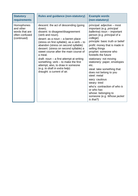| <b>Statutory</b><br>requirements                                           | <b>Rules and guidance (non-statutory)</b>                                                                                                                                                                                                                                                                                                                                                                                                                                                                                     | <b>Example words</b><br>(non-statutory)                                                                                                                                                                                                                                                                                                                                                                                                                                                                                                                                      |
|----------------------------------------------------------------------------|-------------------------------------------------------------------------------------------------------------------------------------------------------------------------------------------------------------------------------------------------------------------------------------------------------------------------------------------------------------------------------------------------------------------------------------------------------------------------------------------------------------------------------|------------------------------------------------------------------------------------------------------------------------------------------------------------------------------------------------------------------------------------------------------------------------------------------------------------------------------------------------------------------------------------------------------------------------------------------------------------------------------------------------------------------------------------------------------------------------------|
| Homophones<br>and other<br>words that are<br>often confused<br>(continued) | descent: the act of descending (going<br>down).<br>dissent: to disagree/disagreement<br>(verb and noun).<br>desert: as a noun - a barren place<br>(stress on first syllable); as a verb - to<br>abandon (stress on second syllable)<br>dessert: (stress on second syllable) a<br>sweet course after the main course of<br>a meal.<br>$dr$ aft: noun – a first attempt at writing<br>something; $verb - to make the first$<br>attempt; also, to draw in someone<br>(e.g. to draft in extra help)<br>draught: a current of air. | principal: adjective - most<br>important (e.g. principal<br>ballerina) noun - important<br>person (e.g. <i>principal of a</i><br>college)<br>principle: basic truth or belief<br>profit: money that is made in<br>selling things<br>prophet: someone who<br>foretells the future<br>stationary: not moving<br>stationery: paper, envelopes<br>etc.<br>steal: take something that<br>does not belong to you<br>steel: metal<br>wary: cautious<br>weary: tired<br>who's: contraction of who is<br>or who has<br>whose: belonging to<br>someone (e.g. Whose jacket<br>is that?) |